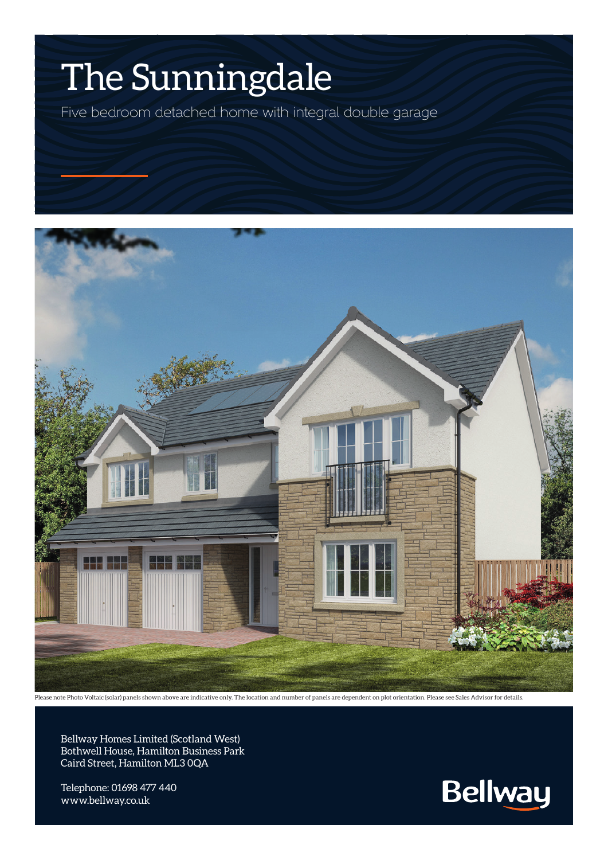## The Sunningdale

Five bedroom detached home with integral double garage



Please note Photo Voltaic (solar) panels shown above are indicative only. The location and number of panels are dependent on plot orientation. Please see Sales Advisor for details.

Bellway Homes Limited (Scotland West) Bothwell House, Hamilton Business Park Caird Street, Hamilton ML3 0QA

Telephone: 01698 477 440 www.bellway.co.uk